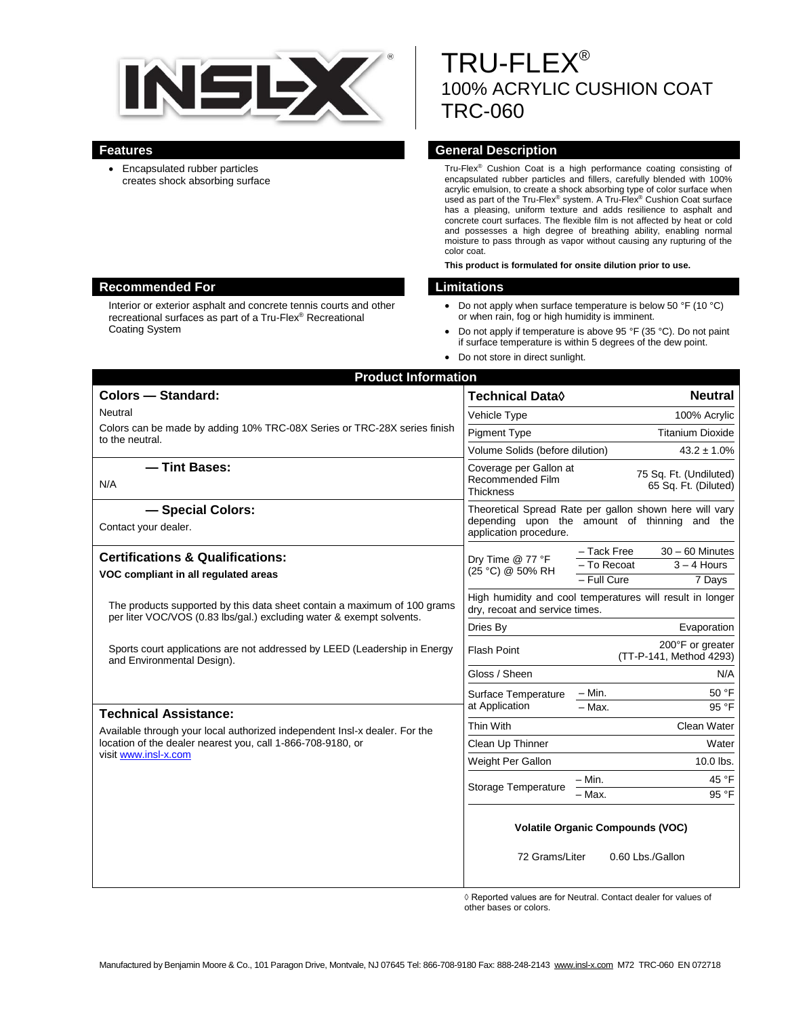

 Encapsulated rubber particles creates shock absorbing surface

# TRU-FLEX® 100% ACRYLIC CUSHION COAT TRC-060

#### **Features General Description**

Tru-Flex® Cushion Coat is a high performance coating consisting of encapsulated rubber particles and fillers, carefully blended with 100% acrylic emulsion, to create a shock absorbing type of color surface when used as part of the Tru-Flex® system. A Tru-Flex® Cushion Coat surface has a pleasing, uniform texture and adds resilience to asphalt and concrete court surfaces. The flexible film is not affected by heat or cold and possesses a high degree of breathing ability, enabling normal moisture to pass through as vapor without causing any rupturing of the color coat.

**This product is formulated for onsite dilution prior to use.**

- Do not apply when surface temperature is below 50 °F (10 °C) or when rain, fog or high humidity is imminent.
- Do not apply if temperature is above 95 °F (35 °C). Do not paint if surface temperature is within 5 degrees of the dew point.
- Do not store in direct sunlight.

| <b>Product Information</b>                                                                                                                       |                                                                                                                                    |
|--------------------------------------------------------------------------------------------------------------------------------------------------|------------------------------------------------------------------------------------------------------------------------------------|
| <b>Colors - Standard:</b>                                                                                                                        | Technical Data $\Diamond$<br><b>Neutral</b>                                                                                        |
| Neutral                                                                                                                                          | 100% Acrylic<br>Vehicle Type                                                                                                       |
| Colors can be made by adding 10% TRC-08X Series or TRC-28X series finish<br>to the neutral.                                                      | <b>Titanium Dioxide</b><br><b>Pigment Type</b>                                                                                     |
|                                                                                                                                                  | Volume Solids (before dilution)<br>$43.2 \pm 1.0\%$                                                                                |
| - Tint Bases:<br>N/A                                                                                                                             | Coverage per Gallon at<br>75 Sq. Ft. (Undiluted)<br>Recommended Film<br>65 Sq. Ft. (Diluted)<br><b>Thickness</b>                   |
| - Special Colors:<br>Contact your dealer.                                                                                                        | Theoretical Spread Rate per gallon shown here will vary<br>depending upon the amount of thinning and the<br>application procedure. |
| <b>Certifications &amp; Qualifications:</b>                                                                                                      | $30 - 60$ Minutes<br>– Tack Free<br>Dry Time @ 77 °F<br>$3 - 4$ Hours<br>- To Recoat<br>(25 °C) @ 50% RH                           |
| VOC compliant in all regulated areas                                                                                                             |                                                                                                                                    |
|                                                                                                                                                  | - Full Cure<br>7 Days                                                                                                              |
| The products supported by this data sheet contain a maximum of 100 grams<br>per liter VOC/VOS (0.83 lbs/gal.) excluding water & exempt solvents. | High humidity and cool temperatures will result in longer<br>dry, recoat and service times.                                        |
|                                                                                                                                                  | Dries By<br>Evaporation                                                                                                            |
| Sports court applications are not addressed by LEED (Leadership in Energy<br>and Environmental Design).                                          | 200°F or greater<br><b>Flash Point</b><br>(TT-P-141, Method 4293)                                                                  |
|                                                                                                                                                  | Gloss / Sheen<br>N/A                                                                                                               |
|                                                                                                                                                  | - Min.<br>50 °F<br>Surface Temperature                                                                                             |
| <b>Technical Assistance:</b>                                                                                                                     | at Application<br>95 °F<br>$-$ Max.                                                                                                |
| Available through your local authorized independent Insl-x dealer. For the                                                                       | Thin With<br>Clean Water                                                                                                           |
| location of the dealer nearest you, call 1-866-708-9180, or                                                                                      | Clean Up Thinner<br>Water                                                                                                          |
| visit www.insl-x.com                                                                                                                             | Weight Per Gallon<br>10.0 lbs.                                                                                                     |
|                                                                                                                                                  | 45 °F<br>$- Min.$<br><b>Storage Temperature</b>                                                                                    |
|                                                                                                                                                  | - Max.<br>95 °F                                                                                                                    |
|                                                                                                                                                  | <b>Volatile Organic Compounds (VOC)</b>                                                                                            |
|                                                                                                                                                  | 72 Grams/Liter<br>0.60 Lbs./Gallon                                                                                                 |

◊ Reported values are for Neutral. Contact dealer for values of other bases or colors.

#### **Recommended For Limitations**

Interior or exterior asphalt and concrete tennis courts and other recreational surfaces as part of a Tru-Flex® Recreational Coating System